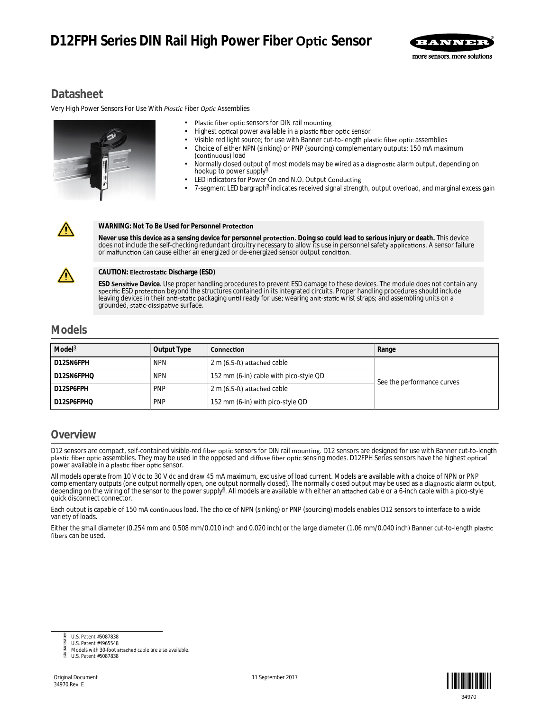# **D12FPH Series DIN Rail High Power Fiber Optic Sensor**



# **Datasheet**

*Very High Power Sensors For Use With Plastic Fiber Optic Assemblies* 



- Plastic fiber optic sensors for DIN rail mounting
- Highest optical power available in a plastic fiber optic sensor
- Visible red light source; for use with Banner cut-to-length plastic fiber optic assemblies
- Choice of either NPN (sinking) or PNP (sourcing) complementary outputs; 150 mA maximum (continuous) load
- Normally closed output of most models may be wired as a diagnostic alarm output, depending on hookup to power supply<sup>1</sup>
- LED indicators for Power On and N.O. Output Conducting
- 7-segment LED bargraph<sup>2</sup> indicates received signal strength, output overload, and marginal excess gain

#### **WARNING: Not To Be Used for Personnel Protection**

Never use this device as a sensing device for personnel **protection.** Doing so could lead to serious injury or death. This device does not include the self-checking redundant circuitry necessary to allow its use in personnel safety applications. A sensor failure or malfunction can cause either an energized or de-energized sensor output condition.



#### **CAUTION: Electrostatic Discharge (ESD)**

**ESD Sensitive** Device. Use proper handling procedures to prevent ESD damage to these devices. The module does not contain any specific ESD protection beyond the structures contained in its integrated circuits. Proper handling procedures should include leaving devices in their anti-static packaging until ready for use; wearing anit-static wrist straps; and assembling units on a grounded, static-dissipative surface.

## **Models**

| Model <sup>3</sup> | Output Type | <b>Connection</b>                      | Range                      |  |
|--------------------|-------------|----------------------------------------|----------------------------|--|
| D12SN6FPH          | <b>NPN</b>  | 2 m (6.5-ft) attached cable            | See the performance curves |  |
| D12SN6FPHQ         | <b>NPN</b>  | 152 mm (6-in) cable with pico-style QD |                            |  |
| D12SP6FPH          | <b>PNP</b>  | 2 m (6.5-ft) attached cable            |                            |  |
| D12SP6FPHQ         | <b>PNP</b>  | 152 mm (6-in) with pico-style QD       |                            |  |

# **Overview**

D12 sensors are compact, self-contained visible-red fiber optic sensors for DIN rail mounting. D12 sensors are designed for use with Banner cut-to-length plastic fiber optic assemblies. They may be used in the opposed and diffuse fiber optic sensing modes. D12FPH Series sensors have the highest optical power available in a plastic fiber optic sensor.

All models operate from 10 V dc to 30 V dc and draw 45 mA maximum, exclusive of load current. Models are available with a choice of NPN or PNP complementary outputs (one output normally open, one output normally closed). The normally closed output may be used as a diagnostic alarm output,<br>depending on the wiring of the sensor to the power supply<sup>a</sup>. All models ar quick disconnect connector.

Each output is capable of 150 mA continuous load. The choice of NPN (sinking) or PNP (sourcing) models enables D12 sensors to interface to a wide variety of loads.

Either the small diameter (0.254 mm and 0.508 mm/0.010 inch and 0.020 inch) or the large diameter (1.06 mm/0.040 inch) Banner cut-to-length plastic fibers can be used.



2 U.S. Patent #4965548



Models with 30-foot attached cable are also available.

<sup>4</sup> U.S. Patent #5087838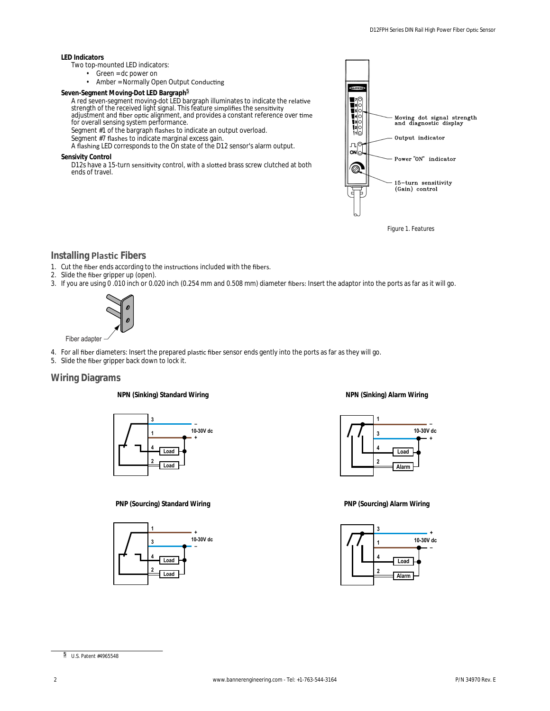#### **LED Indicators**

- Two top-mounted LED indicators:
	- Green = dc power on
	- Amber = Normally Open Output Conducting
- **Seven-Segment Moving-Dot LED Bargraph**<sup>5</sup>

A red seven-segment moving-dot LED bargraph illuminates to indicate the relative strength of the received light signal. This feature simplifies the sensitivity adjustment and fiber optic alignment, and provides a constant reference over time

for overall sensing system performance. Segment #1 of the bargraph flashes to indicate an output overload.

Segment #7 flashes to indicate marginal excess gain.

A flashing LED corresponds to the On state of the D12 sensor's alarm output.

**Sensivity Control**

D12s have a 15-turn sensitivity control, with a slotted brass screw clutched at both ends of travel.



*Figure 1. Features*

## **Installing Plastic Fibers**

- 1. Cut the fiber ends according to the instructions included with the fibers.
- 2. Slide the fiber gripper up (open).
- 3. If you are using 0 .010 inch or 0.020 inch (0.254 mm and 0.508 mm) diameter fibers: Insert the adaptor into the ports as far as it will go.



- 4. For all fiber diameters: Insert the prepared plastic fiber sensor ends gently into the ports as far as they will go.
- 5. Slide the fiber gripper back down to lock it.

## **Wiring Diagrams**

**NPN (Sinking) Standard Wiring**



### **PNP (Sourcing) Standard Wiring**



**NPN (Sinking) Alarm Wiring**



**PNP (Sourcing) Alarm Wiring**

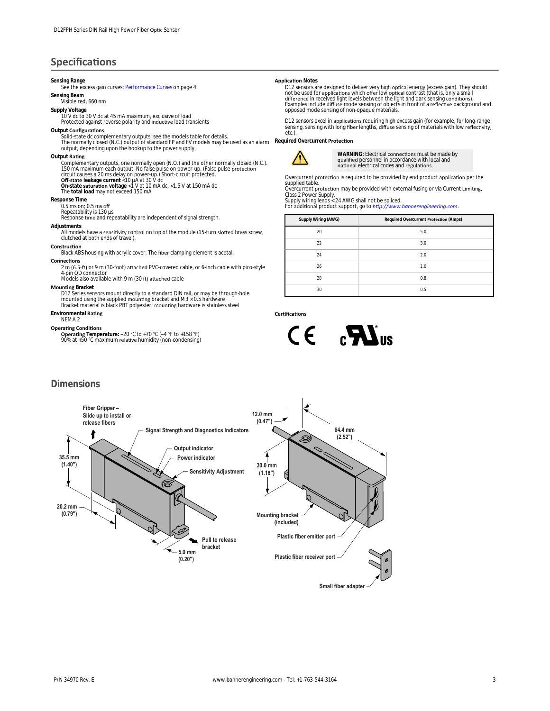# **Specifications**

#### **Sensing Range**

See the excess gain curves; *[Performance Curves](#page-3-0)* on page 4

#### **Sensing Beam** Visible red, 660 nm

**Supply Voltage**

10 V dc to 30 V dc at 45 mA maximum, exclusive of load

Protected against reverse polarity and inductive load transients

### **Output Configurations**

Solid-state dc complementary outputs; see the models table for details.<br>The normally closed (N.C.) output of standard FP and FV models may be used as an alarm<br>output, depending upon the hookup to the power supply.

#### **Output Rating**

Complementary outputs, one normally open (N.O.) and the other normally closed (N.C.).<br>150 mA maximum each output. No false pulse on power-up. (False pulse protection<br>circuit causes a 20 ms delay on power-up.) Short-circuit

The **total load** may not exceed 150 mA

### **Response Time**

 $0.5$  ms on;  $0.5$  ms off

Repeatability is 130 µs<br>Response time and repeatability are independent of signal strength.

#### **Adjustments**

All models have a sensitivity control on top of the module (15-turn slotted brass screw, clutched at both ends of travel).

### **Construction**

Black ABS housing with acrylic cover. The fiber clamping element is acetal.

#### **Connections** 2 m (6.5-ft) or 9 m (30-foot) attached PVC-covered cable, or 6-inch cable with pico-style 4-pin QD connector<br>Models also available with 9 m (30 ft) attached cable

**Mounting Bracket** 

D12 Series sensors mount directly to a standard DIN rail, or may be through-hole mounted using the supplied mounting bracket and M3 × 0.5 hardware<br>Bracket material is black PBT polyester; mounting hardware is stainless steel

#### **Environmental Rating** NEMA 2

#### **Operating Conditions**

**Operating** Temperature: −20 °C to +70 °C (−4 °F to +158 °F)<br>90% at +50 °C maximum relative humidity (non-condensing)

#### **Application Notes**

D12 sensors are designed to deliver very high optical energy (excess gain). They should<br>not be used for applications which offer low optical contrast (that is, only a small<br>difference in received light levels between the l

D12 sensors excel in applications requiring high excess gain (for example, for long-range sensing, sensing with long fiber lengths, diffuse sensing of materials with low reflectivity,<br>etc.).

**Required Overcurrent Protection** 



WARNING: Electrical connections must be made by qualified personnel in accordance with local and<br>national electrical codes and regulations.

Overcurrent protection is required to be provided by end product application per the supplied table

Overcurrent protection may be provided with external fusing or via Current Limiting,<br>Class 2 Power Supply.<br>Supply wiring leads < 24 AWG shall not be spliced.<br>For additional product support, go to *http://www.bannerengineer* 

| Supply Wiring (AWG) | Required Overcurrent Protection (Amps) |  |
|---------------------|----------------------------------------|--|
| 20                  | 5.0                                    |  |
| 22                  | 3.0                                    |  |
| 24                  | 2.0                                    |  |
| 26                  | 1.0                                    |  |
| 28                  | 0.8                                    |  |
| 30                  | 0.5                                    |  |

Certifications



## **Dimensions**

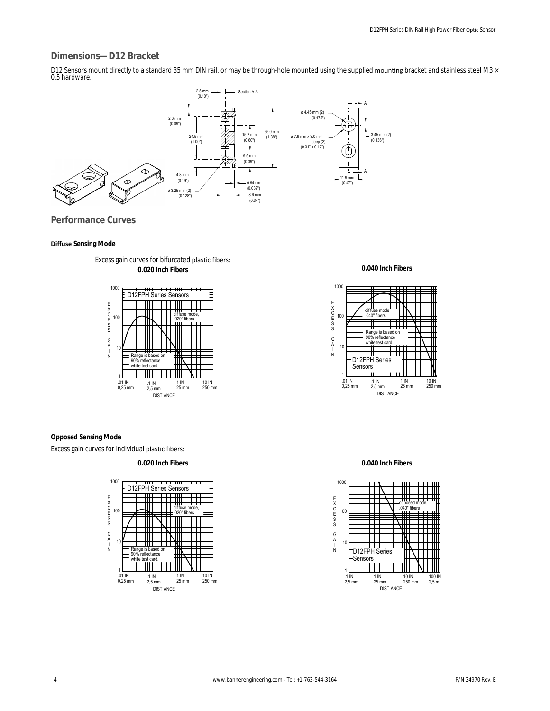## <span id="page-3-0"></span>**Dimensions—D12 Bracket**

D12 Sensors mount directly to a standard 35 mm DIN rail, or may be through-hole mounted using the supplied mounting bracket and stainless steel M3 × 0.5 hardware.



**Performance Curves**

#### *<u>Diffuse Sensing Mode</u>*



Excess gain curves for bifurcated plastic fibers: **0.020 Inch Fibers**

**0.040 Inch Fibers**



**Opposed Sensing Mode**

Excess gain curves for individual plastic fibers:

**0.020 Inch Fibers**



**0.040 Inch Fibers**

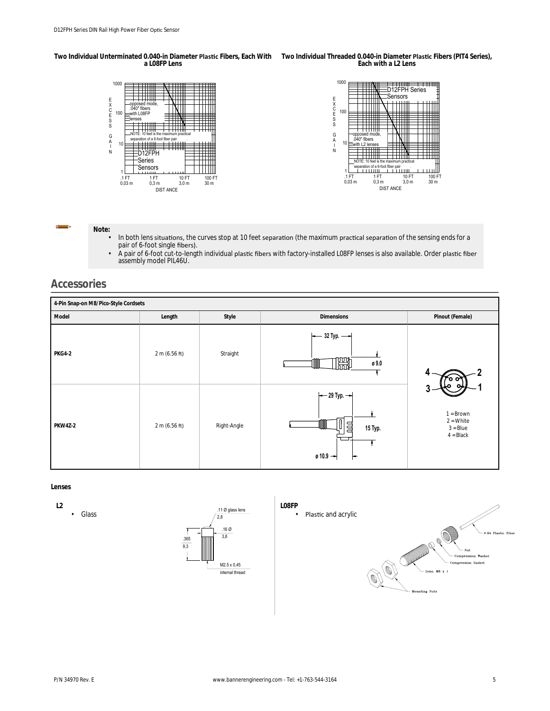Two Individual Unterminated 0.040-in Diameter **Plastic** Fibers, Each With Two Individual Threaded 0.040-in Diameter **Plastic** Fibers (PIT4 Series), **a L08FP Lens Each with a L2 Lens**



**Note:**

- In both lens situations, the curves stop at 10 feet separation (the maximum practical separation of the sensing ends for a pair of 6-foot single fibers).
- A pair of 6-foot cut-to-length individual plastic fibers with factory-installed L08FP lenses is also available. Order plastic fiber assembly model PIL46U.

# **Accessories**

| 4-Pin Snap-on M8/Pico-Style Cordsets |               |             |                                                                           |                                                         |  |  |
|--------------------------------------|---------------|-------------|---------------------------------------------------------------------------|---------------------------------------------------------|--|--|
| Model                                | Length        | Style       | <b>Dimensions</b>                                                         | Pinout (Female)                                         |  |  |
| <b>PKG4-2</b>                        | 2 m (6.56 ft) | Straight    | $-32$ Typ. $-\rightarrow$<br>闣<br>ø 9.0<br>┉                              |                                                         |  |  |
| PKW4Z-2                              | 2 m (6.56 ft) | Right-Angle | $\leftarrow$ 29 Typ. $\leftarrow$<br>$\Box$<br>15 Typ.<br>$0.10.9 -$<br>⊢ | $1 = Brown$<br>$2 = White$<br>$3 = Blue$<br>$4 = Black$ |  |  |

**Lenses**

**L2 Glass**